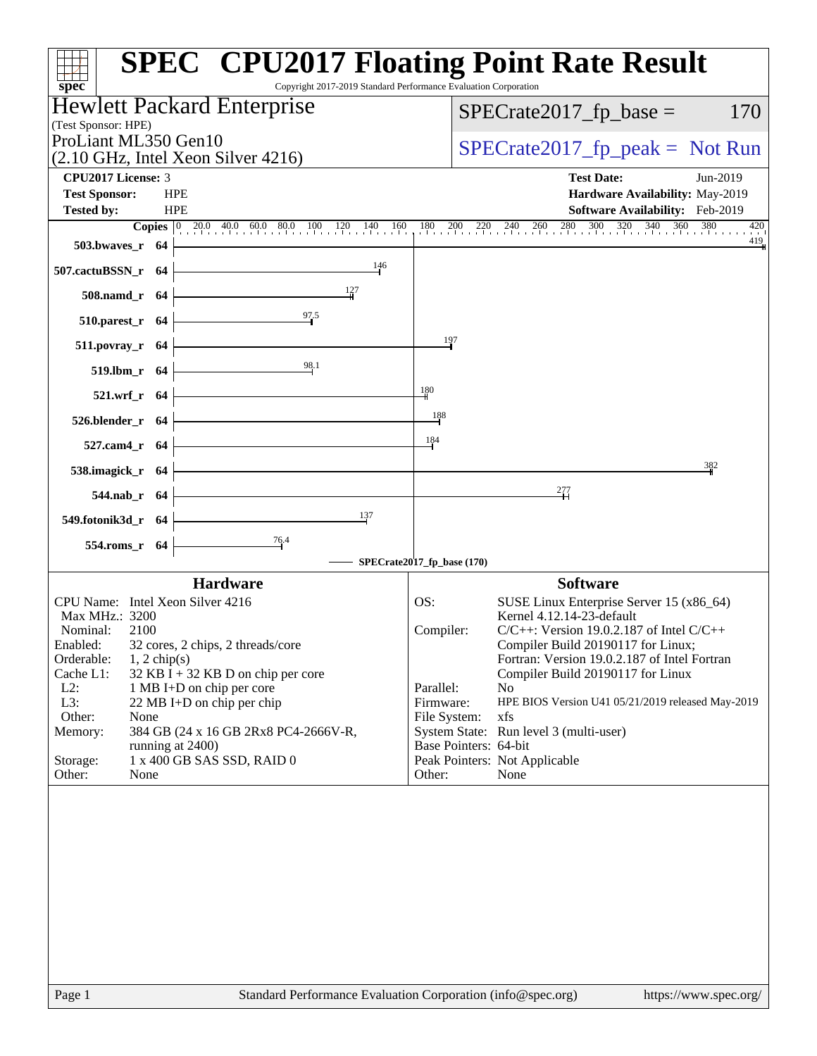| <b>SPEC<sup>®</sup> CPU2017 Floating Point Rate Result</b><br>Copyright 2017-2019 Standard Performance Evaluation Corporation<br>$spec^*$ |                                                                                                                                                                              |
|-------------------------------------------------------------------------------------------------------------------------------------------|------------------------------------------------------------------------------------------------------------------------------------------------------------------------------|
| Hewlett Packard Enterprise                                                                                                                | $SPECrate2017fp base =$<br>170                                                                                                                                               |
| (Test Sponsor: HPE)<br>ProLiant ML350 Gen10                                                                                               | $SPECrate2017rfp peak = Not Run$                                                                                                                                             |
| $(2.10 \text{ GHz}, \text{Intel Xeon Silver } 4216)$                                                                                      |                                                                                                                                                                              |
| <b>CPU2017 License: 3</b>                                                                                                                 | <b>Test Date:</b><br>Jun-2019                                                                                                                                                |
| <b>Test Sponsor:</b><br><b>HPE</b>                                                                                                        | Hardware Availability: May-2019                                                                                                                                              |
| <b>HPE</b><br><b>Tested by:</b>                                                                                                           | Software Availability: Feb-2019<br>420                                                                                                                                       |
| $503.bwaves_r$ 64                                                                                                                         | <b>Copies</b> $\begin{bmatrix} 0 & 20.0 & 40.0 & 60.0 & 80.0 & 100 & 120 & 140 & 160 & 180 & 200 & 220 & 240 & 260 & 280 & 300 & 320 & 340 & 360 & 380 \end{bmatrix}$<br>419 |
| 146<br>507.cactuBSSN_r 64                                                                                                                 |                                                                                                                                                                              |
| 508.namd_r 64                                                                                                                             |                                                                                                                                                                              |
| $\frac{97.5}{1}$<br>$510.parest_r$ 64                                                                                                     |                                                                                                                                                                              |
| 511.povray_r 64                                                                                                                           | 197                                                                                                                                                                          |
| $519.$ lbm_r 64                                                                                                                           |                                                                                                                                                                              |
| $521.wrf_r$ 64                                                                                                                            | 180                                                                                                                                                                          |
| $526. \text{blender}_r$ 64                                                                                                                | 188                                                                                                                                                                          |
| <u> 1989 - Johann Barbara, martxa a</u><br>527.cam4_r $64$                                                                                | 184                                                                                                                                                                          |
| 538.imagick_r 64 +                                                                                                                        | 382                                                                                                                                                                          |
| <u> 1989 - Johann Barn, fransk politik (</u><br>$544$ .nab_r 64                                                                           | 277                                                                                                                                                                          |
| 137<br>549.fotonik3d_r $64$                                                                                                               |                                                                                                                                                                              |
| $\frac{76.4}{9}$<br>$554$ .roms_r 64                                                                                                      | - SPECrate2017_fp_base (170)                                                                                                                                                 |
|                                                                                                                                           |                                                                                                                                                                              |
| <b>Hardware</b><br>CPU Name: Intel Xeon Silver 4216                                                                                       | <b>Software</b><br>SUSE Linux Enterprise Server 15 (x86_64)<br>OS:                                                                                                           |
| Max MHz.: 3200                                                                                                                            | Kernel 4.12.14-23-default                                                                                                                                                    |
| Nominal:<br>2100                                                                                                                          | $C/C++$ : Version 19.0.2.187 of Intel $C/C++$<br>Compiler:                                                                                                                   |
| 32 cores, 2 chips, 2 threads/core<br>Enabled:                                                                                             | Compiler Build 20190117 for Linux;                                                                                                                                           |
| Orderable:<br>$1, 2$ chip(s)                                                                                                              | Fortran: Version 19.0.2.187 of Intel Fortran                                                                                                                                 |
| Cache L1:<br>$32$ KB I + 32 KB D on chip per core<br>$L2$ :<br>1 MB I+D on chip per core                                                  | Compiler Build 20190117 for Linux<br>Parallel:<br>No                                                                                                                         |
| L3:<br>22 MB I+D on chip per chip                                                                                                         | Firmware:<br>HPE BIOS Version U41 05/21/2019 released May-2019                                                                                                               |
| Other:<br>None                                                                                                                            | xfs<br>File System:                                                                                                                                                          |
| 384 GB (24 x 16 GB 2Rx8 PC4-2666V-R,<br>Memory:                                                                                           | System State: Run level 3 (multi-user)                                                                                                                                       |
| running at 2400)<br>1 x 400 GB SAS SSD, RAID 0<br>Storage:                                                                                | Base Pointers: 64-bit<br>Peak Pointers: Not Applicable                                                                                                                       |
| Other:<br>None                                                                                                                            | Other:<br>None                                                                                                                                                               |
|                                                                                                                                           |                                                                                                                                                                              |
| Standard Performance Evaluation Corporation (info@spec.org)<br>Page 1                                                                     | https://www.spec.org/                                                                                                                                                        |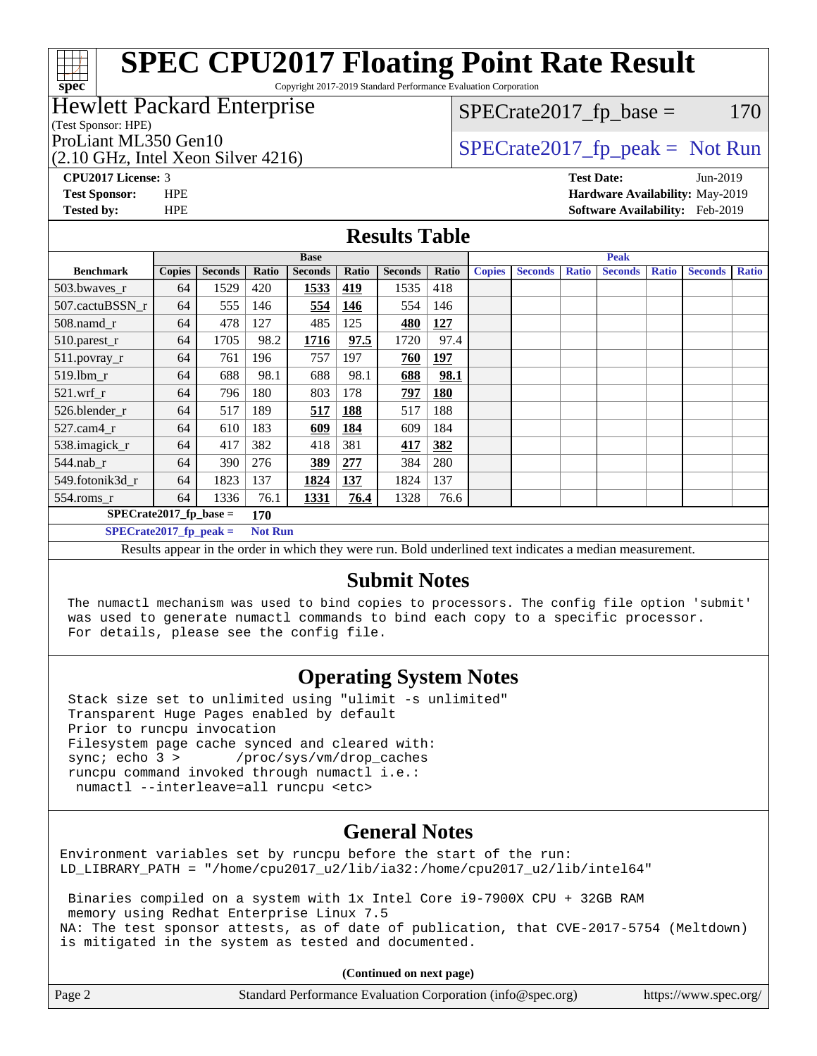Copyright 2017-2019 Standard Performance Evaluation Corporation

#### Hewlett Packard Enterprise

(Test Sponsor: HPE)

**[spec](http://www.spec.org/)**

(2.10 GHz, Intel Xeon Silver 4216)

 $SPECTate2017<sub>fr</sub> base = 170$ 

# ProLiant ML350 Gen10  $SPECTR_{12}^{12}$  [SPECrate2017\\_fp\\_peak =](http://www.spec.org/auto/cpu2017/Docs/result-fields.html#SPECrate2017fppeak) Not Run

**[CPU2017 License:](http://www.spec.org/auto/cpu2017/Docs/result-fields.html#CPU2017License)** 3 **[Test Date:](http://www.spec.org/auto/cpu2017/Docs/result-fields.html#TestDate)** Jun-2019 **[Test Sponsor:](http://www.spec.org/auto/cpu2017/Docs/result-fields.html#TestSponsor)** HPE **[Hardware Availability:](http://www.spec.org/auto/cpu2017/Docs/result-fields.html#HardwareAvailability)** May-2019 **[Tested by:](http://www.spec.org/auto/cpu2017/Docs/result-fields.html#Testedby)** HPE **[Software Availability:](http://www.spec.org/auto/cpu2017/Docs/result-fields.html#SoftwareAvailability)** Feb-2019

#### **[Results Table](http://www.spec.org/auto/cpu2017/Docs/result-fields.html#ResultsTable)**

|                                            | <b>Base</b>   |                |       |                | <b>Peak</b> |                |                      |               |                |              |                |              |                |              |
|--------------------------------------------|---------------|----------------|-------|----------------|-------------|----------------|----------------------|---------------|----------------|--------------|----------------|--------------|----------------|--------------|
| <b>Benchmark</b>                           | <b>Copies</b> | <b>Seconds</b> | Ratio | <b>Seconds</b> | Ratio       | <b>Seconds</b> | Ratio                | <b>Copies</b> | <b>Seconds</b> | <b>Ratio</b> | <b>Seconds</b> | <b>Ratio</b> | <b>Seconds</b> | <b>Ratio</b> |
| 503.bwayes_r                               | 64            | 1529           | 420   | 1533           | 419         | 1535           | 418                  |               |                |              |                |              |                |              |
| 507.cactuBSSN r                            | 64            | 555            | 146   | 554            | 146         | 554            | 146                  |               |                |              |                |              |                |              |
| $508$ .namd $r$                            | 64            | 478            | 127   | 485            | 125         | 480            | 127                  |               |                |              |                |              |                |              |
| 510.parest_r                               | 64            | 1705           | 98.2  | 1716           | 97.5        | 1720           | 97.4                 |               |                |              |                |              |                |              |
| 511.povray_r                               | 64            | 761            | 196   | 757            | 197         | 760            | 197                  |               |                |              |                |              |                |              |
| $519$ .lbm $r$                             | 64            | 688            | 98.1  | 688            | 98.1        | 688            | 98.1                 |               |                |              |                |              |                |              |
| $521$ .wrf r                               | 64            | 796            | 180   | 803            | 178         | 797            | <b>180</b>           |               |                |              |                |              |                |              |
| 526.blender r                              | 64            | 517            | 189   | 517            | 188         | 517            | 188                  |               |                |              |                |              |                |              |
| $527$ .cam $4r$                            | 64            | 610            | 183   | 609            | 184         | 609            | 184                  |               |                |              |                |              |                |              |
| 538.imagick_r                              | 64            | 417            | 382   | 418            | 381         | 417            | 382                  |               |                |              |                |              |                |              |
| 544.nab r                                  | 64            | 390            | 276   | 389            | 277         | 384            | 280                  |               |                |              |                |              |                |              |
| 549.fotonik3d r                            | 64            | 1823           | 137   | 1824           | 137         | 1824           | 137                  |               |                |              |                |              |                |              |
| $554$ .roms_r                              | 64            | 1336           | 76.1  | 1331           | 76.4        | 1328           | 76.6                 |               |                |              |                |              |                |              |
| $SPECrate2017_fp\_base =$<br>170           |               |                |       |                |             |                |                      |               |                |              |                |              |                |              |
| $SPECrate2017_fp_peak =$<br><b>Not Run</b> |               |                |       |                |             |                |                      |               |                |              |                |              |                |              |
|                                            |               |                |       |                |             | - - -          | $\sim$ $\sim$ $\sim$ |               | $\sim$ $\sim$  |              |                |              |                |              |

Results appear in the [order in which they were run.](http://www.spec.org/auto/cpu2017/Docs/result-fields.html#RunOrder) Bold underlined text [indicates a median measurement.](http://www.spec.org/auto/cpu2017/Docs/result-fields.html#Median)

#### **[Submit Notes](http://www.spec.org/auto/cpu2017/Docs/result-fields.html#SubmitNotes)**

 The numactl mechanism was used to bind copies to processors. The config file option 'submit' was used to generate numactl commands to bind each copy to a specific processor. For details, please see the config file.

### **[Operating System Notes](http://www.spec.org/auto/cpu2017/Docs/result-fields.html#OperatingSystemNotes)**

 Stack size set to unlimited using "ulimit -s unlimited" Transparent Huge Pages enabled by default Prior to runcpu invocation Filesystem page cache synced and cleared with: sync; echo 3 > /proc/sys/vm/drop\_caches runcpu command invoked through numactl i.e.: numactl --interleave=all runcpu <etc>

### **[General Notes](http://www.spec.org/auto/cpu2017/Docs/result-fields.html#GeneralNotes)**

Environment variables set by runcpu before the start of the run: LD\_LIBRARY\_PATH = "/home/cpu2017\_u2/lib/ia32:/home/cpu2017\_u2/lib/intel64"

 Binaries compiled on a system with 1x Intel Core i9-7900X CPU + 32GB RAM memory using Redhat Enterprise Linux 7.5 NA: The test sponsor attests, as of date of publication, that CVE-2017-5754 (Meltdown) is mitigated in the system as tested and documented.

**(Continued on next page)**

| Page 2 | Standard Performance Evaluation Corporation (info@spec.org) | https://www.spec.org/ |
|--------|-------------------------------------------------------------|-----------------------|
|--------|-------------------------------------------------------------|-----------------------|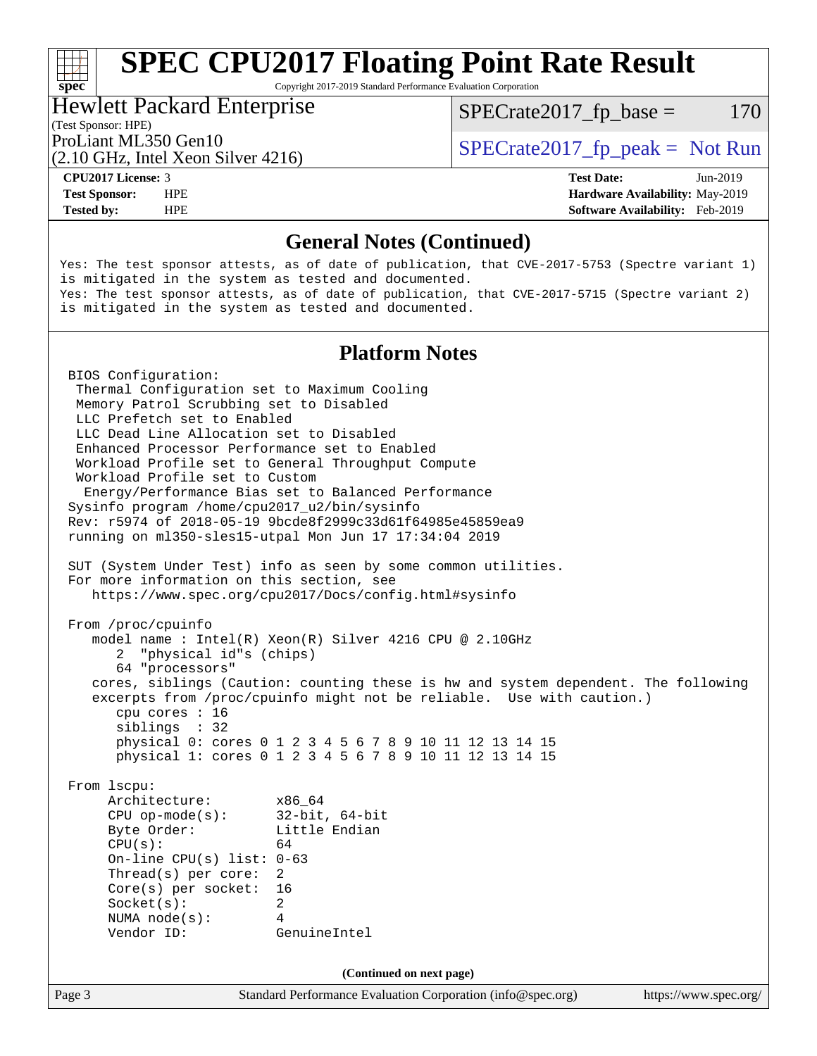Copyright 2017-2019 Standard Performance Evaluation Corporation

#### Hewlett Packard Enterprise

 $SPECTate2017<sub>fr</sub> base = 170$ 

(Test Sponsor: HPE)

ProLiant ML350 Gen10  $SPECTA = 2017$  SPECrate 2017\_fp\_peak = Not Run

(2.10 GHz, Intel Xeon Silver 4216)

**[spec](http://www.spec.org/)**<sup>®</sup>

**[CPU2017 License:](http://www.spec.org/auto/cpu2017/Docs/result-fields.html#CPU2017License)** 3 **[Test Date:](http://www.spec.org/auto/cpu2017/Docs/result-fields.html#TestDate)** Jun-2019 **[Test Sponsor:](http://www.spec.org/auto/cpu2017/Docs/result-fields.html#TestSponsor)** HPE **[Hardware Availability:](http://www.spec.org/auto/cpu2017/Docs/result-fields.html#HardwareAvailability)** May-2019 **[Tested by:](http://www.spec.org/auto/cpu2017/Docs/result-fields.html#Testedby)** HPE **[Software Availability:](http://www.spec.org/auto/cpu2017/Docs/result-fields.html#SoftwareAvailability)** Feb-2019

#### **[General Notes \(Continued\)](http://www.spec.org/auto/cpu2017/Docs/result-fields.html#GeneralNotes)**

Yes: The test sponsor attests, as of date of publication, that CVE-2017-5753 (Spectre variant 1) is mitigated in the system as tested and documented. Yes: The test sponsor attests, as of date of publication, that CVE-2017-5715 (Spectre variant 2) is mitigated in the system as tested and documented.

#### **[Platform Notes](http://www.spec.org/auto/cpu2017/Docs/result-fields.html#PlatformNotes)**

Page 3 Standard Performance Evaluation Corporation [\(info@spec.org\)](mailto:info@spec.org) <https://www.spec.org/> BIOS Configuration: Thermal Configuration set to Maximum Cooling Memory Patrol Scrubbing set to Disabled LLC Prefetch set to Enabled LLC Dead Line Allocation set to Disabled Enhanced Processor Performance set to Enabled Workload Profile set to General Throughput Compute Workload Profile set to Custom Energy/Performance Bias set to Balanced Performance Sysinfo program /home/cpu2017\_u2/bin/sysinfo Rev: r5974 of 2018-05-19 9bcde8f2999c33d61f64985e45859ea9 running on ml350-sles15-utpal Mon Jun 17 17:34:04 2019 SUT (System Under Test) info as seen by some common utilities. For more information on this section, see <https://www.spec.org/cpu2017/Docs/config.html#sysinfo> From /proc/cpuinfo model name : Intel(R) Xeon(R) Silver 4216 CPU @ 2.10GHz 2 "physical id"s (chips) 64 "processors" cores, siblings (Caution: counting these is hw and system dependent. The following excerpts from /proc/cpuinfo might not be reliable. Use with caution.) cpu cores : 16 siblings : 32 physical 0: cores 0 1 2 3 4 5 6 7 8 9 10 11 12 13 14 15 physical 1: cores 0 1 2 3 4 5 6 7 8 9 10 11 12 13 14 15 From lscpu: Architecture: x86\_64 CPU op-mode(s): 32-bit, 64-bit Byte Order: Little Endian  $CPU(s):$  64 On-line CPU(s) list: 0-63 Thread(s) per core: 2 Core(s) per socket: 16 Socket(s): 2 NUMA node(s): 4 Vendor ID: GenuineIntel **(Continued on next page)**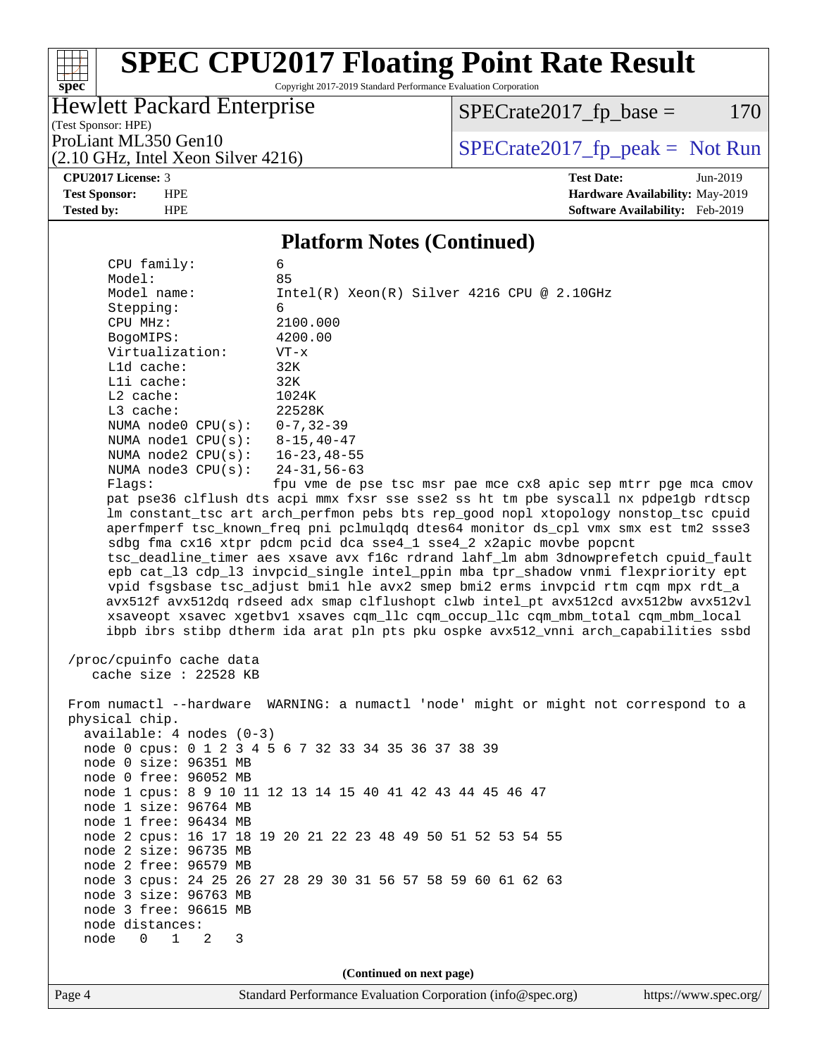Copyright 2017-2019 Standard Performance Evaluation Corporation

### Hewlett Packard Enterprise

 $SPECrate2017_fp\_base = 170$ 

(Test Sponsor: HPE) (2.10 GHz, Intel Xeon Silver 4216)

ProLiant ML350 Gen10<br>  $(2.10 \text{ GHz} \text{ Intel } \text{Xeon Silver } 4216)$  [SPECrate2017\\_fp\\_peak =](http://www.spec.org/auto/cpu2017/Docs/result-fields.html#SPECrate2017fppeak) Not Run

**[spec](http://www.spec.org/)**

 $+\ +$ 

**[CPU2017 License:](http://www.spec.org/auto/cpu2017/Docs/result-fields.html#CPU2017License)** 3 **[Test Date:](http://www.spec.org/auto/cpu2017/Docs/result-fields.html#TestDate)** Jun-2019 **[Test Sponsor:](http://www.spec.org/auto/cpu2017/Docs/result-fields.html#TestSponsor)** HPE **[Hardware Availability:](http://www.spec.org/auto/cpu2017/Docs/result-fields.html#HardwareAvailability)** May-2019 **[Tested by:](http://www.spec.org/auto/cpu2017/Docs/result-fields.html#Testedby)** HPE **[Software Availability:](http://www.spec.org/auto/cpu2017/Docs/result-fields.html#SoftwareAvailability)** Feb-2019

#### **[Platform Notes \(Continued\)](http://www.spec.org/auto/cpu2017/Docs/result-fields.html#PlatformNotes)**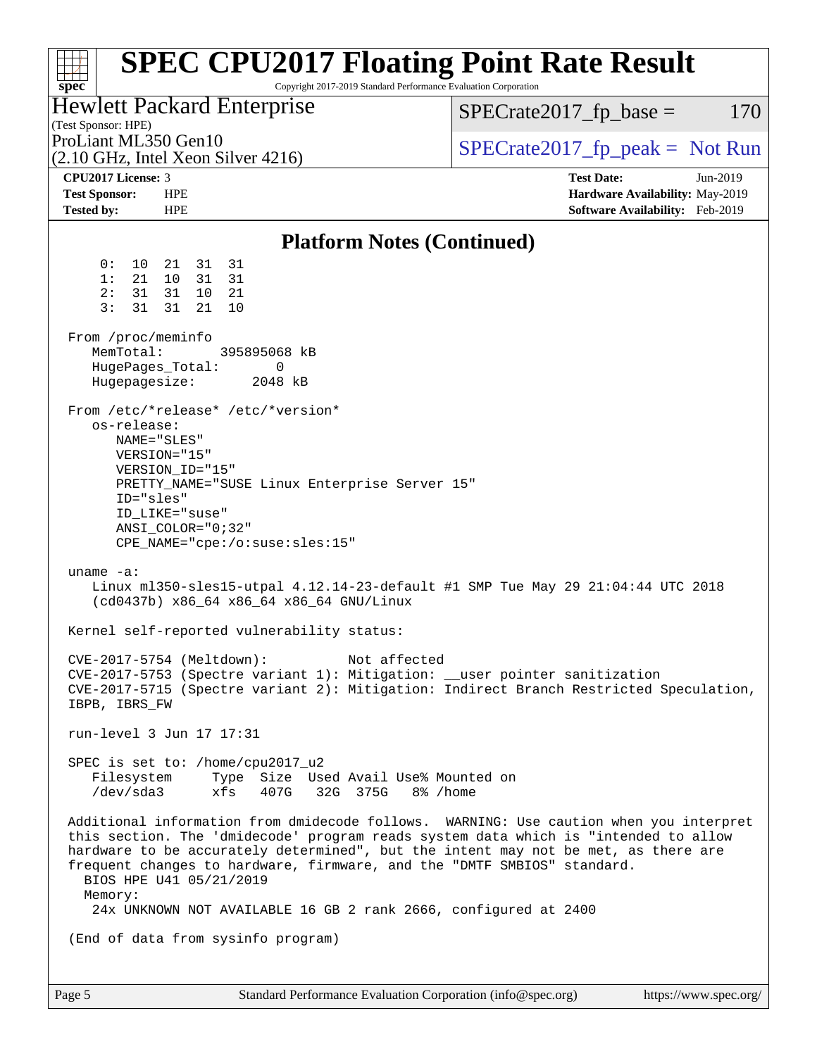| <b>SPEC CPU2017 Floating Point Rate Result</b><br>Copyright 2017-2019 Standard Performance Evaluation Corporation<br>spec                                                                                                                                                                                                                                                                                                                                                                                                                                                                                                       |                                                                                                     |
|---------------------------------------------------------------------------------------------------------------------------------------------------------------------------------------------------------------------------------------------------------------------------------------------------------------------------------------------------------------------------------------------------------------------------------------------------------------------------------------------------------------------------------------------------------------------------------------------------------------------------------|-----------------------------------------------------------------------------------------------------|
| <b>Hewlett Packard Enterprise</b><br>(Test Sponsor: HPE)                                                                                                                                                                                                                                                                                                                                                                                                                                                                                                                                                                        | $SPECrate2017_fp\_base =$<br>170                                                                    |
| ProLiant ML350 Gen10<br>(2.10 GHz, Intel Xeon Silver 4216)                                                                                                                                                                                                                                                                                                                                                                                                                                                                                                                                                                      | $SPECrate2017fr peak = Not Run$                                                                     |
| CPU2017 License: 3<br><b>Test Sponsor:</b><br><b>HPE</b><br><b>Tested by:</b><br><b>HPE</b>                                                                                                                                                                                                                                                                                                                                                                                                                                                                                                                                     | <b>Test Date:</b><br>Jun-2019<br>Hardware Availability: May-2019<br>Software Availability: Feb-2019 |
| <b>Platform Notes (Continued)</b>                                                                                                                                                                                                                                                                                                                                                                                                                                                                                                                                                                                               |                                                                                                     |
| 0:<br>31 31<br>10<br>21<br>21<br>10<br>31 31<br>1:<br>31<br>31<br>10<br>21<br>2:<br>3:<br>31<br>21<br>31<br>10<br>From /proc/meminfo<br>MemTotal:<br>395895068 kB<br>HugePages_Total:<br>0<br>Hugepagesize:<br>2048 kB<br>From /etc/*release* /etc/*version*<br>os-release:<br>NAME="SLES"<br>VERSION="15"<br>VERSION_ID="15"<br>PRETTY_NAME="SUSE Linux Enterprise Server 15"<br>ID="sles"<br>ID_LIKE="suse"<br>$ANSI$ _COLOR=" $0:32$ "<br>$CPE\_NAME='cpe://o:suse: sles:15"$<br>uname $-a$ :<br>Linux ml350-sles15-utpal 4.12.14-23-default #1 SMP Tue May 29 21:04:44 UTC 2018<br>(cd0437b) x86_64 x86_64 x86_64 GNU/Linux |                                                                                                     |
| Kernel self-reported vulnerability status:<br>CVE-2017-5754 (Meltdown): Not affected<br>CVE-2017-5753 (Spectre variant 1): Mitigation: __user pointer sanitization<br>CVE-2017-5715 (Spectre variant 2): Mitigation: Indirect Branch Restricted Speculation,<br>IBPB, IBRS_FW                                                                                                                                                                                                                                                                                                                                                   |                                                                                                     |
| run-level 3 Jun 17 17:31                                                                                                                                                                                                                                                                                                                                                                                                                                                                                                                                                                                                        |                                                                                                     |
| SPEC is set to: /home/cpu2017_u2<br>Filesystem Type Size Used Avail Use% Mounted on<br>/dev/sda3 xfs 407G 32G 375G 8% /home                                                                                                                                                                                                                                                                                                                                                                                                                                                                                                     |                                                                                                     |
| Additional information from dmidecode follows. WARNING: Use caution when you interpret<br>this section. The 'dmidecode' program reads system data which is "intended to allow<br>hardware to be accurately determined", but the intent may not be met, as there are<br>frequent changes to hardware, firmware, and the "DMTF SMBIOS" standard.<br>BIOS HPE U41 05/21/2019<br>Memory:<br>24x UNKNOWN NOT AVAILABLE 16 GB 2 rank 2666, configured at 2400                                                                                                                                                                         |                                                                                                     |
| (End of data from sysinfo program)                                                                                                                                                                                                                                                                                                                                                                                                                                                                                                                                                                                              |                                                                                                     |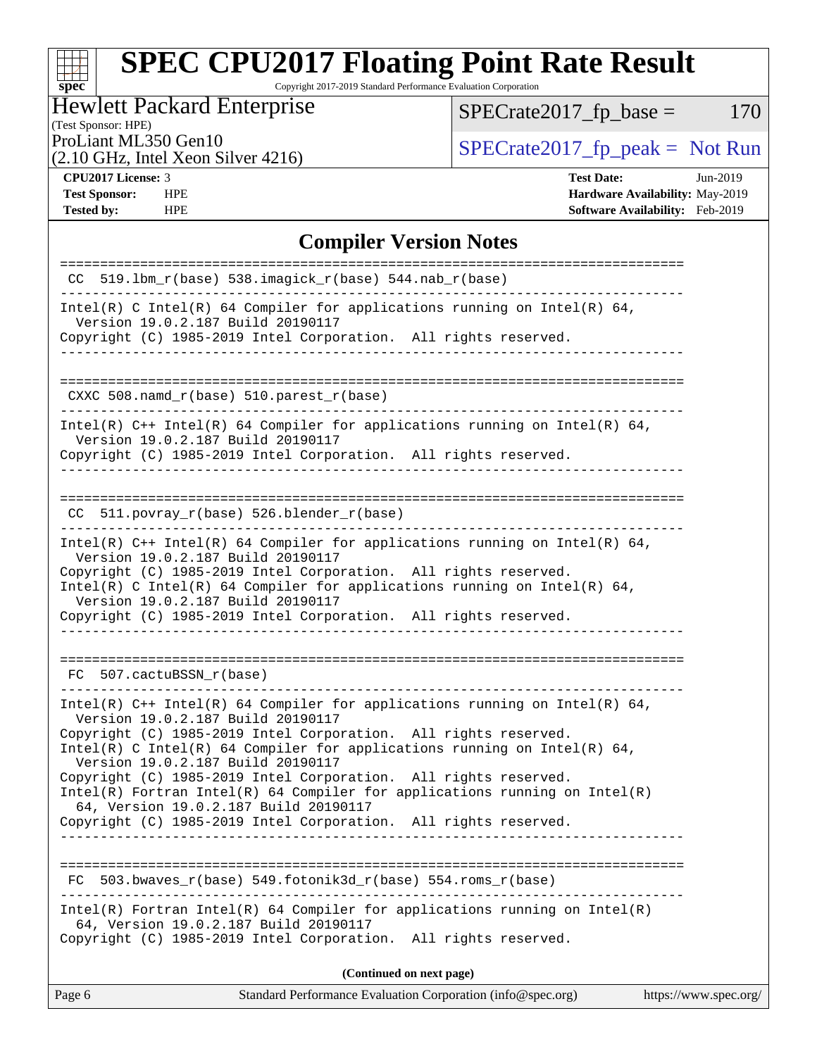Copyright 2017-2019 Standard Performance Evaluation Corporation

### Hewlett Packard Enterprise

(Test Sponsor: HPE)

 $SPECrate2017_fp\_base = 170$ 

(2.10 GHz, Intel Xeon Silver 4216)

ProLiant ML350 Gen10<br>  $(2.10 \text{ GHz} \text{ Intel } \text{Xeon Silver } 4216)$  [SPECrate2017\\_fp\\_peak =](http://www.spec.org/auto/cpu2017/Docs/result-fields.html#SPECrate2017fppeak) Not Run

**[spec](http://www.spec.org/)**

 $\pm$ 

**[CPU2017 License:](http://www.spec.org/auto/cpu2017/Docs/result-fields.html#CPU2017License)** 3 **[Test Date:](http://www.spec.org/auto/cpu2017/Docs/result-fields.html#TestDate)** Jun-2019 **[Test Sponsor:](http://www.spec.org/auto/cpu2017/Docs/result-fields.html#TestSponsor)** HPE **[Hardware Availability:](http://www.spec.org/auto/cpu2017/Docs/result-fields.html#HardwareAvailability)** May-2019 **[Tested by:](http://www.spec.org/auto/cpu2017/Docs/result-fields.html#Testedby)** HPE **[Software Availability:](http://www.spec.org/auto/cpu2017/Docs/result-fields.html#SoftwareAvailability)** Feb-2019

#### **[Compiler Version Notes](http://www.spec.org/auto/cpu2017/Docs/result-fields.html#CompilerVersionNotes)**

| $CC$ 519.1bm_r(base) 538.imagick_r(base) 544.nab_r(base)                                                                                                                                                                                                                                                                                                                                                                                                                                                                                                             |
|----------------------------------------------------------------------------------------------------------------------------------------------------------------------------------------------------------------------------------------------------------------------------------------------------------------------------------------------------------------------------------------------------------------------------------------------------------------------------------------------------------------------------------------------------------------------|
| Intel(R) C Intel(R) 64 Compiler for applications running on Intel(R) 64,<br>Version 19.0.2.187 Build 20190117                                                                                                                                                                                                                                                                                                                                                                                                                                                        |
| Copyright (C) 1985-2019 Intel Corporation. All rights reserved.                                                                                                                                                                                                                                                                                                                                                                                                                                                                                                      |
| CXXC 508.namd_r(base) 510.parest_r(base)                                                                                                                                                                                                                                                                                                                                                                                                                                                                                                                             |
| Intel(R) $C++$ Intel(R) 64 Compiler for applications running on Intel(R) 64,<br>Version 19.0.2.187 Build 20190117<br>Copyright (C) 1985-2019 Intel Corporation. All rights reserved.                                                                                                                                                                                                                                                                                                                                                                                 |
| $CC$ 511.povray_r(base) 526.blender_r(base)                                                                                                                                                                                                                                                                                                                                                                                                                                                                                                                          |
| Intel(R) $C++$ Intel(R) 64 Compiler for applications running on Intel(R) 64,<br>Version 19.0.2.187 Build 20190117<br>Copyright (C) 1985-2019 Intel Corporation. All rights reserved.<br>Intel(R) C Intel(R) 64 Compiler for applications running on Intel(R) 64,<br>Version 19.0.2.187 Build 20190117<br>Copyright (C) 1985-2019 Intel Corporation. All rights reserved.<br>--------------------------------                                                                                                                                                         |
| FC 507.cactuBSSN r(base)                                                                                                                                                                                                                                                                                                                                                                                                                                                                                                                                             |
| Intel(R) $C++$ Intel(R) 64 Compiler for applications running on Intel(R) 64,<br>Version 19.0.2.187 Build 20190117<br>Copyright (C) 1985-2019 Intel Corporation. All rights reserved.<br>Intel(R) C Intel(R) 64 Compiler for applications running on Intel(R) 64,<br>Version 19.0.2.187 Build 20190117<br>Copyright (C) 1985-2019 Intel Corporation. All rights reserved.<br>$Intel(R)$ Fortran Intel(R) 64 Compiler for applications running on Intel(R)<br>64, Version 19.0.2.187 Build 20190117<br>Copyright (C) 1985-2019 Intel Corporation. All rights reserved. |
| $503.bwaves_r(base) 549.fotonik3d_r(base) 554.rows_r(base)$<br>FC                                                                                                                                                                                                                                                                                                                                                                                                                                                                                                    |
| $Intel(R)$ Fortran Intel(R) 64 Compiler for applications running on Intel(R)<br>64, Version 19.0.2.187 Build 20190117<br>Copyright (C) 1985-2019 Intel Corporation.<br>All rights reserved.                                                                                                                                                                                                                                                                                                                                                                          |
| (Continued on next page)                                                                                                                                                                                                                                                                                                                                                                                                                                                                                                                                             |
| Standard Performance Evaluation Corporation (info@spec.org)<br>Page 6<br>https://www.spec.org/                                                                                                                                                                                                                                                                                                                                                                                                                                                                       |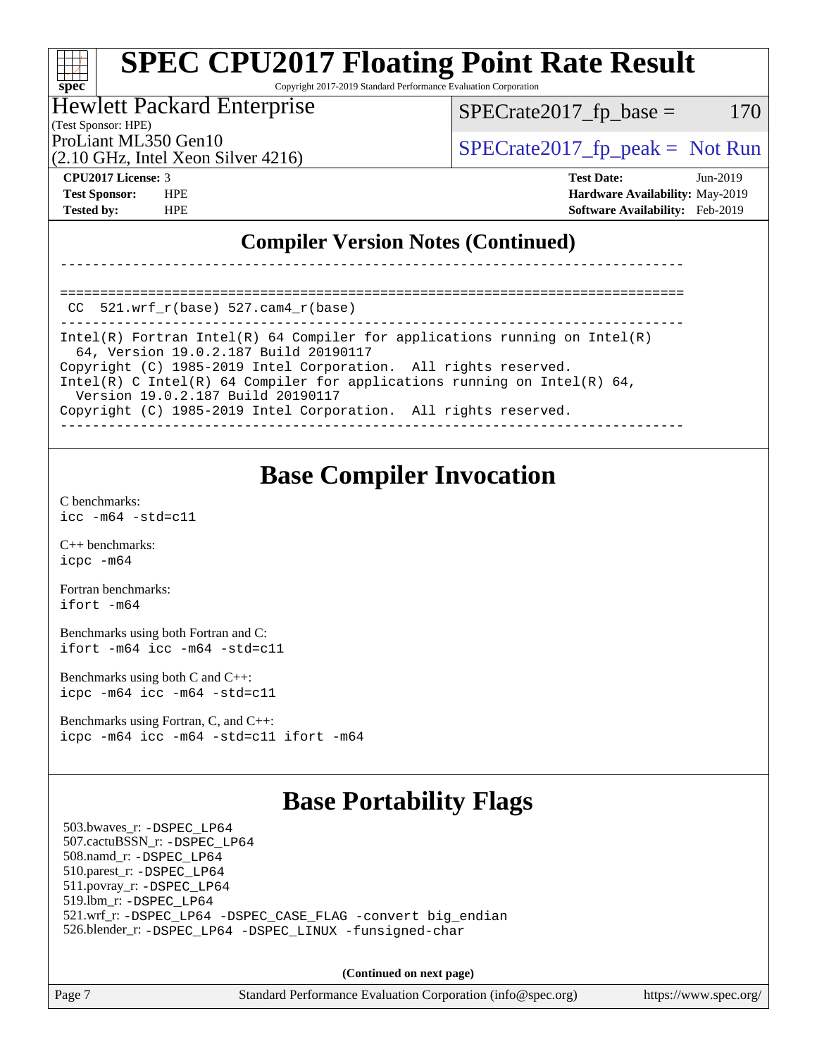Copyright 2017-2019 Standard Performance Evaluation Corporation

#### Hewlett Packard Enterprise

(Test Sponsor: HPE)

 $SPECTate2017<sub>fr</sub> base = 170$ 

(2.10 GHz, Intel Xeon Silver 4216)

ProLiant ML350 Gen10  $SPECTA 2017$   $\int$  [SPECrate2017\\_fp\\_peak =](http://www.spec.org/auto/cpu2017/Docs/result-fields.html#SPECrate2017fppeak) Not Run

**[spec](http://www.spec.org/)**

**[CPU2017 License:](http://www.spec.org/auto/cpu2017/Docs/result-fields.html#CPU2017License)** 3 **[Test Date:](http://www.spec.org/auto/cpu2017/Docs/result-fields.html#TestDate)** Jun-2019 **[Test Sponsor:](http://www.spec.org/auto/cpu2017/Docs/result-fields.html#TestSponsor)** HPE **[Hardware Availability:](http://www.spec.org/auto/cpu2017/Docs/result-fields.html#HardwareAvailability)** May-2019 **[Tested by:](http://www.spec.org/auto/cpu2017/Docs/result-fields.html#Testedby)** HPE **[Software Availability:](http://www.spec.org/auto/cpu2017/Docs/result-fields.html#SoftwareAvailability)** Feb-2019

### **[Compiler Version Notes \(Continued\)](http://www.spec.org/auto/cpu2017/Docs/result-fields.html#CompilerVersionNotes)**

==============================================================================  $CC$  521.wrf $r(base)$  527.cam $4$  $r(base)$ 

------------------------------------------------------------------------------ Intel(R) Fortran Intel(R) 64 Compiler for applications running on Intel(R) 64, Version 19.0.2.187 Build 20190117 Copyright (C) 1985-2019 Intel Corporation. All rights reserved. Intel(R) C Intel(R) 64 Compiler for applications running on Intel(R) 64, Version 19.0.2.187 Build 20190117 Copyright (C) 1985-2019 Intel Corporation. All rights reserved. ------------------------------------------------------------------------------

------------------------------------------------------------------------------

### **[Base Compiler Invocation](http://www.spec.org/auto/cpu2017/Docs/result-fields.html#BaseCompilerInvocation)**

[C benchmarks](http://www.spec.org/auto/cpu2017/Docs/result-fields.html#Cbenchmarks): [icc -m64 -std=c11](http://www.spec.org/cpu2017/results/res2019q3/cpu2017-20190624-15532.flags.html#user_CCbase_intel_icc_64bit_c11_33ee0cdaae7deeeab2a9725423ba97205ce30f63b9926c2519791662299b76a0318f32ddfffdc46587804de3178b4f9328c46fa7c2b0cd779d7a61945c91cd35)

[C++ benchmarks:](http://www.spec.org/auto/cpu2017/Docs/result-fields.html#CXXbenchmarks) [icpc -m64](http://www.spec.org/cpu2017/results/res2019q3/cpu2017-20190624-15532.flags.html#user_CXXbase_intel_icpc_64bit_4ecb2543ae3f1412ef961e0650ca070fec7b7afdcd6ed48761b84423119d1bf6bdf5cad15b44d48e7256388bc77273b966e5eb805aefd121eb22e9299b2ec9d9)

[Fortran benchmarks](http://www.spec.org/auto/cpu2017/Docs/result-fields.html#Fortranbenchmarks): [ifort -m64](http://www.spec.org/cpu2017/results/res2019q3/cpu2017-20190624-15532.flags.html#user_FCbase_intel_ifort_64bit_24f2bb282fbaeffd6157abe4f878425411749daecae9a33200eee2bee2fe76f3b89351d69a8130dd5949958ce389cf37ff59a95e7a40d588e8d3a57e0c3fd751)

[Benchmarks using both Fortran and C](http://www.spec.org/auto/cpu2017/Docs/result-fields.html#BenchmarksusingbothFortranandC): [ifort -m64](http://www.spec.org/cpu2017/results/res2019q3/cpu2017-20190624-15532.flags.html#user_CC_FCbase_intel_ifort_64bit_24f2bb282fbaeffd6157abe4f878425411749daecae9a33200eee2bee2fe76f3b89351d69a8130dd5949958ce389cf37ff59a95e7a40d588e8d3a57e0c3fd751) [icc -m64 -std=c11](http://www.spec.org/cpu2017/results/res2019q3/cpu2017-20190624-15532.flags.html#user_CC_FCbase_intel_icc_64bit_c11_33ee0cdaae7deeeab2a9725423ba97205ce30f63b9926c2519791662299b76a0318f32ddfffdc46587804de3178b4f9328c46fa7c2b0cd779d7a61945c91cd35)

[Benchmarks using both C and C++](http://www.spec.org/auto/cpu2017/Docs/result-fields.html#BenchmarksusingbothCandCXX): [icpc -m64](http://www.spec.org/cpu2017/results/res2019q3/cpu2017-20190624-15532.flags.html#user_CC_CXXbase_intel_icpc_64bit_4ecb2543ae3f1412ef961e0650ca070fec7b7afdcd6ed48761b84423119d1bf6bdf5cad15b44d48e7256388bc77273b966e5eb805aefd121eb22e9299b2ec9d9) [icc -m64 -std=c11](http://www.spec.org/cpu2017/results/res2019q3/cpu2017-20190624-15532.flags.html#user_CC_CXXbase_intel_icc_64bit_c11_33ee0cdaae7deeeab2a9725423ba97205ce30f63b9926c2519791662299b76a0318f32ddfffdc46587804de3178b4f9328c46fa7c2b0cd779d7a61945c91cd35)

[Benchmarks using Fortran, C, and C++:](http://www.spec.org/auto/cpu2017/Docs/result-fields.html#BenchmarksusingFortranCandCXX) [icpc -m64](http://www.spec.org/cpu2017/results/res2019q3/cpu2017-20190624-15532.flags.html#user_CC_CXX_FCbase_intel_icpc_64bit_4ecb2543ae3f1412ef961e0650ca070fec7b7afdcd6ed48761b84423119d1bf6bdf5cad15b44d48e7256388bc77273b966e5eb805aefd121eb22e9299b2ec9d9) [icc -m64 -std=c11](http://www.spec.org/cpu2017/results/res2019q3/cpu2017-20190624-15532.flags.html#user_CC_CXX_FCbase_intel_icc_64bit_c11_33ee0cdaae7deeeab2a9725423ba97205ce30f63b9926c2519791662299b76a0318f32ddfffdc46587804de3178b4f9328c46fa7c2b0cd779d7a61945c91cd35) [ifort -m64](http://www.spec.org/cpu2017/results/res2019q3/cpu2017-20190624-15532.flags.html#user_CC_CXX_FCbase_intel_ifort_64bit_24f2bb282fbaeffd6157abe4f878425411749daecae9a33200eee2bee2fe76f3b89351d69a8130dd5949958ce389cf37ff59a95e7a40d588e8d3a57e0c3fd751)

## **[Base Portability Flags](http://www.spec.org/auto/cpu2017/Docs/result-fields.html#BasePortabilityFlags)**

 503.bwaves\_r: [-DSPEC\\_LP64](http://www.spec.org/cpu2017/results/res2019q3/cpu2017-20190624-15532.flags.html#suite_basePORTABILITY503_bwaves_r_DSPEC_LP64) 507.cactuBSSN\_r: [-DSPEC\\_LP64](http://www.spec.org/cpu2017/results/res2019q3/cpu2017-20190624-15532.flags.html#suite_basePORTABILITY507_cactuBSSN_r_DSPEC_LP64) 508.namd\_r: [-DSPEC\\_LP64](http://www.spec.org/cpu2017/results/res2019q3/cpu2017-20190624-15532.flags.html#suite_basePORTABILITY508_namd_r_DSPEC_LP64) 510.parest\_r: [-DSPEC\\_LP64](http://www.spec.org/cpu2017/results/res2019q3/cpu2017-20190624-15532.flags.html#suite_basePORTABILITY510_parest_r_DSPEC_LP64) 511.povray\_r: [-DSPEC\\_LP64](http://www.spec.org/cpu2017/results/res2019q3/cpu2017-20190624-15532.flags.html#suite_basePORTABILITY511_povray_r_DSPEC_LP64) 519.lbm\_r: [-DSPEC\\_LP64](http://www.spec.org/cpu2017/results/res2019q3/cpu2017-20190624-15532.flags.html#suite_basePORTABILITY519_lbm_r_DSPEC_LP64) 521.wrf\_r: [-DSPEC\\_LP64](http://www.spec.org/cpu2017/results/res2019q3/cpu2017-20190624-15532.flags.html#suite_basePORTABILITY521_wrf_r_DSPEC_LP64) [-DSPEC\\_CASE\\_FLAG](http://www.spec.org/cpu2017/results/res2019q3/cpu2017-20190624-15532.flags.html#b521.wrf_r_baseCPORTABILITY_DSPEC_CASE_FLAG) [-convert big\\_endian](http://www.spec.org/cpu2017/results/res2019q3/cpu2017-20190624-15532.flags.html#user_baseFPORTABILITY521_wrf_r_convert_big_endian_c3194028bc08c63ac5d04de18c48ce6d347e4e562e8892b8bdbdc0214820426deb8554edfa529a3fb25a586e65a3d812c835984020483e7e73212c4d31a38223) 526.blender\_r: [-DSPEC\\_LP64](http://www.spec.org/cpu2017/results/res2019q3/cpu2017-20190624-15532.flags.html#suite_basePORTABILITY526_blender_r_DSPEC_LP64) [-DSPEC\\_LINUX](http://www.spec.org/cpu2017/results/res2019q3/cpu2017-20190624-15532.flags.html#b526.blender_r_baseCPORTABILITY_DSPEC_LINUX) [-funsigned-char](http://www.spec.org/cpu2017/results/res2019q3/cpu2017-20190624-15532.flags.html#user_baseCPORTABILITY526_blender_r_force_uchar_40c60f00ab013830e2dd6774aeded3ff59883ba5a1fc5fc14077f794d777847726e2a5858cbc7672e36e1b067e7e5c1d9a74f7176df07886a243d7cc18edfe67)

**(Continued on next page)**

Page 7 Standard Performance Evaluation Corporation [\(info@spec.org\)](mailto:info@spec.org) <https://www.spec.org/>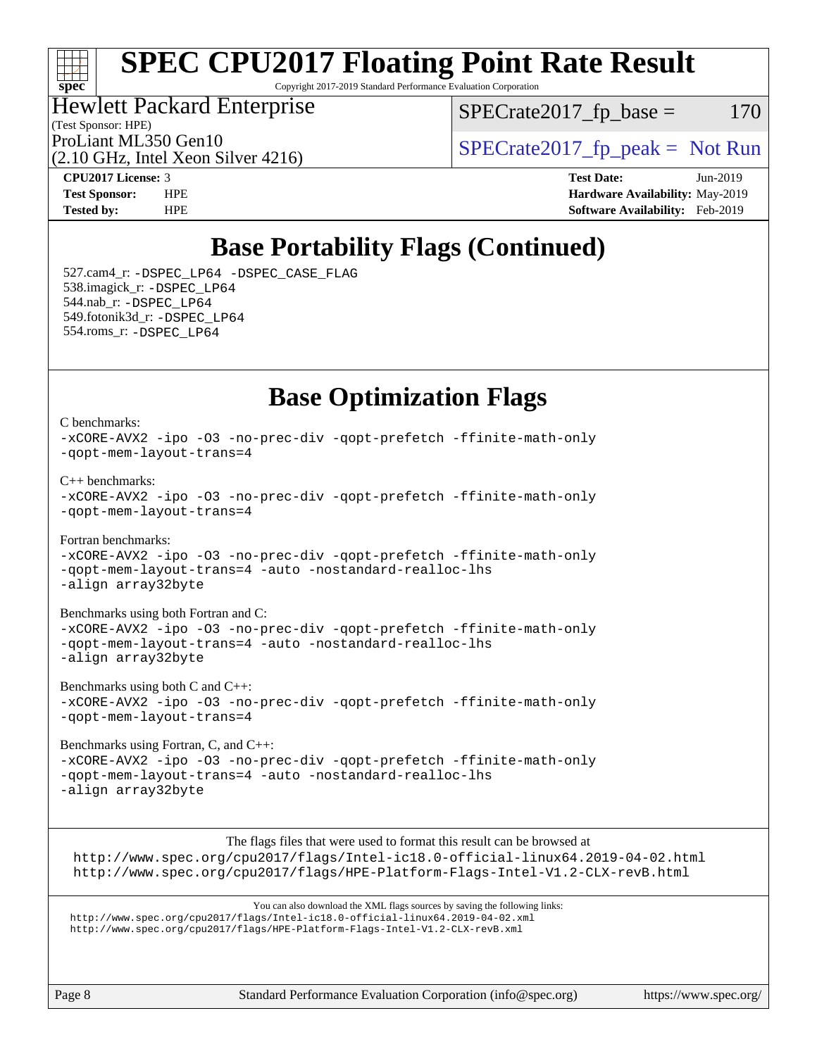#### ti h **[spec](http://www.spec.org/)**

# **[SPEC CPU2017 Floating Point Rate Result](http://www.spec.org/auto/cpu2017/Docs/result-fields.html#SPECCPU2017FloatingPointRateResult)**

Copyright 2017-2019 Standard Performance Evaluation Corporation

## Hewlett Packard Enterprise

 $SPECTate2017<sub>fr</sub> base = 170$ 

(Test Sponsor: HPE)

(2.10 GHz, Intel Xeon Silver 4216)

ProLiant ML350 Gen10  $SPECTR_{12}^{12}$  [SPECrate2017\\_fp\\_peak =](http://www.spec.org/auto/cpu2017/Docs/result-fields.html#SPECrate2017fppeak) Not Run

**[CPU2017 License:](http://www.spec.org/auto/cpu2017/Docs/result-fields.html#CPU2017License)** 3 **[Test Date:](http://www.spec.org/auto/cpu2017/Docs/result-fields.html#TestDate)** Jun-2019 **[Test Sponsor:](http://www.spec.org/auto/cpu2017/Docs/result-fields.html#TestSponsor)** HPE **[Hardware Availability:](http://www.spec.org/auto/cpu2017/Docs/result-fields.html#HardwareAvailability)** May-2019 **[Tested by:](http://www.spec.org/auto/cpu2017/Docs/result-fields.html#Testedby)** HPE **[Software Availability:](http://www.spec.org/auto/cpu2017/Docs/result-fields.html#SoftwareAvailability)** Feb-2019

## **[Base Portability Flags \(Continued\)](http://www.spec.org/auto/cpu2017/Docs/result-fields.html#BasePortabilityFlags)**

 527.cam4\_r: [-DSPEC\\_LP64](http://www.spec.org/cpu2017/results/res2019q3/cpu2017-20190624-15532.flags.html#suite_basePORTABILITY527_cam4_r_DSPEC_LP64) [-DSPEC\\_CASE\\_FLAG](http://www.spec.org/cpu2017/results/res2019q3/cpu2017-20190624-15532.flags.html#b527.cam4_r_baseCPORTABILITY_DSPEC_CASE_FLAG) 538.imagick\_r: [-DSPEC\\_LP64](http://www.spec.org/cpu2017/results/res2019q3/cpu2017-20190624-15532.flags.html#suite_basePORTABILITY538_imagick_r_DSPEC_LP64) 544.nab\_r: [-DSPEC\\_LP64](http://www.spec.org/cpu2017/results/res2019q3/cpu2017-20190624-15532.flags.html#suite_basePORTABILITY544_nab_r_DSPEC_LP64) 549.fotonik3d\_r: [-DSPEC\\_LP64](http://www.spec.org/cpu2017/results/res2019q3/cpu2017-20190624-15532.flags.html#suite_basePORTABILITY549_fotonik3d_r_DSPEC_LP64) 554.roms\_r: [-DSPEC\\_LP64](http://www.spec.org/cpu2017/results/res2019q3/cpu2017-20190624-15532.flags.html#suite_basePORTABILITY554_roms_r_DSPEC_LP64)

### **[Base Optimization Flags](http://www.spec.org/auto/cpu2017/Docs/result-fields.html#BaseOptimizationFlags)**

[C benchmarks](http://www.spec.org/auto/cpu2017/Docs/result-fields.html#Cbenchmarks): [-xCORE-AVX2](http://www.spec.org/cpu2017/results/res2019q3/cpu2017-20190624-15532.flags.html#user_CCbase_f-xCORE-AVX2) [-ipo](http://www.spec.org/cpu2017/results/res2019q3/cpu2017-20190624-15532.flags.html#user_CCbase_f-ipo) [-O3](http://www.spec.org/cpu2017/results/res2019q3/cpu2017-20190624-15532.flags.html#user_CCbase_f-O3) [-no-prec-div](http://www.spec.org/cpu2017/results/res2019q3/cpu2017-20190624-15532.flags.html#user_CCbase_f-no-prec-div) [-qopt-prefetch](http://www.spec.org/cpu2017/results/res2019q3/cpu2017-20190624-15532.flags.html#user_CCbase_f-qopt-prefetch) [-ffinite-math-only](http://www.spec.org/cpu2017/results/res2019q3/cpu2017-20190624-15532.flags.html#user_CCbase_f_finite_math_only_cb91587bd2077682c4b38af759c288ed7c732db004271a9512da14a4f8007909a5f1427ecbf1a0fb78ff2a814402c6114ac565ca162485bbcae155b5e4258871) [-qopt-mem-layout-trans=4](http://www.spec.org/cpu2017/results/res2019q3/cpu2017-20190624-15532.flags.html#user_CCbase_f-qopt-mem-layout-trans_fa39e755916c150a61361b7846f310bcdf6f04e385ef281cadf3647acec3f0ae266d1a1d22d972a7087a248fd4e6ca390a3634700869573d231a252c784941a8) [C++ benchmarks:](http://www.spec.org/auto/cpu2017/Docs/result-fields.html#CXXbenchmarks) [-xCORE-AVX2](http://www.spec.org/cpu2017/results/res2019q3/cpu2017-20190624-15532.flags.html#user_CXXbase_f-xCORE-AVX2) [-ipo](http://www.spec.org/cpu2017/results/res2019q3/cpu2017-20190624-15532.flags.html#user_CXXbase_f-ipo) [-O3](http://www.spec.org/cpu2017/results/res2019q3/cpu2017-20190624-15532.flags.html#user_CXXbase_f-O3) [-no-prec-div](http://www.spec.org/cpu2017/results/res2019q3/cpu2017-20190624-15532.flags.html#user_CXXbase_f-no-prec-div) [-qopt-prefetch](http://www.spec.org/cpu2017/results/res2019q3/cpu2017-20190624-15532.flags.html#user_CXXbase_f-qopt-prefetch) [-ffinite-math-only](http://www.spec.org/cpu2017/results/res2019q3/cpu2017-20190624-15532.flags.html#user_CXXbase_f_finite_math_only_cb91587bd2077682c4b38af759c288ed7c732db004271a9512da14a4f8007909a5f1427ecbf1a0fb78ff2a814402c6114ac565ca162485bbcae155b5e4258871) [-qopt-mem-layout-trans=4](http://www.spec.org/cpu2017/results/res2019q3/cpu2017-20190624-15532.flags.html#user_CXXbase_f-qopt-mem-layout-trans_fa39e755916c150a61361b7846f310bcdf6f04e385ef281cadf3647acec3f0ae266d1a1d22d972a7087a248fd4e6ca390a3634700869573d231a252c784941a8) [Fortran benchmarks](http://www.spec.org/auto/cpu2017/Docs/result-fields.html#Fortranbenchmarks): [-xCORE-AVX2](http://www.spec.org/cpu2017/results/res2019q3/cpu2017-20190624-15532.flags.html#user_FCbase_f-xCORE-AVX2) [-ipo](http://www.spec.org/cpu2017/results/res2019q3/cpu2017-20190624-15532.flags.html#user_FCbase_f-ipo) [-O3](http://www.spec.org/cpu2017/results/res2019q3/cpu2017-20190624-15532.flags.html#user_FCbase_f-O3) [-no-prec-div](http://www.spec.org/cpu2017/results/res2019q3/cpu2017-20190624-15532.flags.html#user_FCbase_f-no-prec-div) [-qopt-prefetch](http://www.spec.org/cpu2017/results/res2019q3/cpu2017-20190624-15532.flags.html#user_FCbase_f-qopt-prefetch) [-ffinite-math-only](http://www.spec.org/cpu2017/results/res2019q3/cpu2017-20190624-15532.flags.html#user_FCbase_f_finite_math_only_cb91587bd2077682c4b38af759c288ed7c732db004271a9512da14a4f8007909a5f1427ecbf1a0fb78ff2a814402c6114ac565ca162485bbcae155b5e4258871) [-qopt-mem-layout-trans=4](http://www.spec.org/cpu2017/results/res2019q3/cpu2017-20190624-15532.flags.html#user_FCbase_f-qopt-mem-layout-trans_fa39e755916c150a61361b7846f310bcdf6f04e385ef281cadf3647acec3f0ae266d1a1d22d972a7087a248fd4e6ca390a3634700869573d231a252c784941a8) [-auto](http://www.spec.org/cpu2017/results/res2019q3/cpu2017-20190624-15532.flags.html#user_FCbase_f-auto) [-nostandard-realloc-lhs](http://www.spec.org/cpu2017/results/res2019q3/cpu2017-20190624-15532.flags.html#user_FCbase_f_2003_std_realloc_82b4557e90729c0f113870c07e44d33d6f5a304b4f63d4c15d2d0f1fab99f5daaed73bdb9275d9ae411527f28b936061aa8b9c8f2d63842963b95c9dd6426b8a) [-align array32byte](http://www.spec.org/cpu2017/results/res2019q3/cpu2017-20190624-15532.flags.html#user_FCbase_align_array32byte_b982fe038af199962ba9a80c053b8342c548c85b40b8e86eb3cc33dee0d7986a4af373ac2d51c3f7cf710a18d62fdce2948f201cd044323541f22fc0fffc51b6) [Benchmarks using both Fortran and C](http://www.spec.org/auto/cpu2017/Docs/result-fields.html#BenchmarksusingbothFortranandC): [-xCORE-AVX2](http://www.spec.org/cpu2017/results/res2019q3/cpu2017-20190624-15532.flags.html#user_CC_FCbase_f-xCORE-AVX2) [-ipo](http://www.spec.org/cpu2017/results/res2019q3/cpu2017-20190624-15532.flags.html#user_CC_FCbase_f-ipo) [-O3](http://www.spec.org/cpu2017/results/res2019q3/cpu2017-20190624-15532.flags.html#user_CC_FCbase_f-O3) [-no-prec-div](http://www.spec.org/cpu2017/results/res2019q3/cpu2017-20190624-15532.flags.html#user_CC_FCbase_f-no-prec-div) [-qopt-prefetch](http://www.spec.org/cpu2017/results/res2019q3/cpu2017-20190624-15532.flags.html#user_CC_FCbase_f-qopt-prefetch) [-ffinite-math-only](http://www.spec.org/cpu2017/results/res2019q3/cpu2017-20190624-15532.flags.html#user_CC_FCbase_f_finite_math_only_cb91587bd2077682c4b38af759c288ed7c732db004271a9512da14a4f8007909a5f1427ecbf1a0fb78ff2a814402c6114ac565ca162485bbcae155b5e4258871) [-qopt-mem-layout-trans=4](http://www.spec.org/cpu2017/results/res2019q3/cpu2017-20190624-15532.flags.html#user_CC_FCbase_f-qopt-mem-layout-trans_fa39e755916c150a61361b7846f310bcdf6f04e385ef281cadf3647acec3f0ae266d1a1d22d972a7087a248fd4e6ca390a3634700869573d231a252c784941a8) [-auto](http://www.spec.org/cpu2017/results/res2019q3/cpu2017-20190624-15532.flags.html#user_CC_FCbase_f-auto) [-nostandard-realloc-lhs](http://www.spec.org/cpu2017/results/res2019q3/cpu2017-20190624-15532.flags.html#user_CC_FCbase_f_2003_std_realloc_82b4557e90729c0f113870c07e44d33d6f5a304b4f63d4c15d2d0f1fab99f5daaed73bdb9275d9ae411527f28b936061aa8b9c8f2d63842963b95c9dd6426b8a) [-align array32byte](http://www.spec.org/cpu2017/results/res2019q3/cpu2017-20190624-15532.flags.html#user_CC_FCbase_align_array32byte_b982fe038af199962ba9a80c053b8342c548c85b40b8e86eb3cc33dee0d7986a4af373ac2d51c3f7cf710a18d62fdce2948f201cd044323541f22fc0fffc51b6) [Benchmarks using both C and C++](http://www.spec.org/auto/cpu2017/Docs/result-fields.html#BenchmarksusingbothCandCXX): [-xCORE-AVX2](http://www.spec.org/cpu2017/results/res2019q3/cpu2017-20190624-15532.flags.html#user_CC_CXXbase_f-xCORE-AVX2) [-ipo](http://www.spec.org/cpu2017/results/res2019q3/cpu2017-20190624-15532.flags.html#user_CC_CXXbase_f-ipo) [-O3](http://www.spec.org/cpu2017/results/res2019q3/cpu2017-20190624-15532.flags.html#user_CC_CXXbase_f-O3) [-no-prec-div](http://www.spec.org/cpu2017/results/res2019q3/cpu2017-20190624-15532.flags.html#user_CC_CXXbase_f-no-prec-div) [-qopt-prefetch](http://www.spec.org/cpu2017/results/res2019q3/cpu2017-20190624-15532.flags.html#user_CC_CXXbase_f-qopt-prefetch) [-ffinite-math-only](http://www.spec.org/cpu2017/results/res2019q3/cpu2017-20190624-15532.flags.html#user_CC_CXXbase_f_finite_math_only_cb91587bd2077682c4b38af759c288ed7c732db004271a9512da14a4f8007909a5f1427ecbf1a0fb78ff2a814402c6114ac565ca162485bbcae155b5e4258871) [-qopt-mem-layout-trans=4](http://www.spec.org/cpu2017/results/res2019q3/cpu2017-20190624-15532.flags.html#user_CC_CXXbase_f-qopt-mem-layout-trans_fa39e755916c150a61361b7846f310bcdf6f04e385ef281cadf3647acec3f0ae266d1a1d22d972a7087a248fd4e6ca390a3634700869573d231a252c784941a8)

[Benchmarks using Fortran, C, and C++:](http://www.spec.org/auto/cpu2017/Docs/result-fields.html#BenchmarksusingFortranCandCXX) [-xCORE-AVX2](http://www.spec.org/cpu2017/results/res2019q3/cpu2017-20190624-15532.flags.html#user_CC_CXX_FCbase_f-xCORE-AVX2) [-ipo](http://www.spec.org/cpu2017/results/res2019q3/cpu2017-20190624-15532.flags.html#user_CC_CXX_FCbase_f-ipo) [-O3](http://www.spec.org/cpu2017/results/res2019q3/cpu2017-20190624-15532.flags.html#user_CC_CXX_FCbase_f-O3) [-no-prec-div](http://www.spec.org/cpu2017/results/res2019q3/cpu2017-20190624-15532.flags.html#user_CC_CXX_FCbase_f-no-prec-div) [-qopt-prefetch](http://www.spec.org/cpu2017/results/res2019q3/cpu2017-20190624-15532.flags.html#user_CC_CXX_FCbase_f-qopt-prefetch) [-ffinite-math-only](http://www.spec.org/cpu2017/results/res2019q3/cpu2017-20190624-15532.flags.html#user_CC_CXX_FCbase_f_finite_math_only_cb91587bd2077682c4b38af759c288ed7c732db004271a9512da14a4f8007909a5f1427ecbf1a0fb78ff2a814402c6114ac565ca162485bbcae155b5e4258871) [-qopt-mem-layout-trans=4](http://www.spec.org/cpu2017/results/res2019q3/cpu2017-20190624-15532.flags.html#user_CC_CXX_FCbase_f-qopt-mem-layout-trans_fa39e755916c150a61361b7846f310bcdf6f04e385ef281cadf3647acec3f0ae266d1a1d22d972a7087a248fd4e6ca390a3634700869573d231a252c784941a8) [-auto](http://www.spec.org/cpu2017/results/res2019q3/cpu2017-20190624-15532.flags.html#user_CC_CXX_FCbase_f-auto) [-nostandard-realloc-lhs](http://www.spec.org/cpu2017/results/res2019q3/cpu2017-20190624-15532.flags.html#user_CC_CXX_FCbase_f_2003_std_realloc_82b4557e90729c0f113870c07e44d33d6f5a304b4f63d4c15d2d0f1fab99f5daaed73bdb9275d9ae411527f28b936061aa8b9c8f2d63842963b95c9dd6426b8a) [-align array32byte](http://www.spec.org/cpu2017/results/res2019q3/cpu2017-20190624-15532.flags.html#user_CC_CXX_FCbase_align_array32byte_b982fe038af199962ba9a80c053b8342c548c85b40b8e86eb3cc33dee0d7986a4af373ac2d51c3f7cf710a18d62fdce2948f201cd044323541f22fc0fffc51b6)

The flags files that were used to format this result can be browsed at <http://www.spec.org/cpu2017/flags/Intel-ic18.0-official-linux64.2019-04-02.html> <http://www.spec.org/cpu2017/flags/HPE-Platform-Flags-Intel-V1.2-CLX-revB.html>

You can also download the XML flags sources by saving the following links: <http://www.spec.org/cpu2017/flags/Intel-ic18.0-official-linux64.2019-04-02.xml> <http://www.spec.org/cpu2017/flags/HPE-Platform-Flags-Intel-V1.2-CLX-revB.xml>